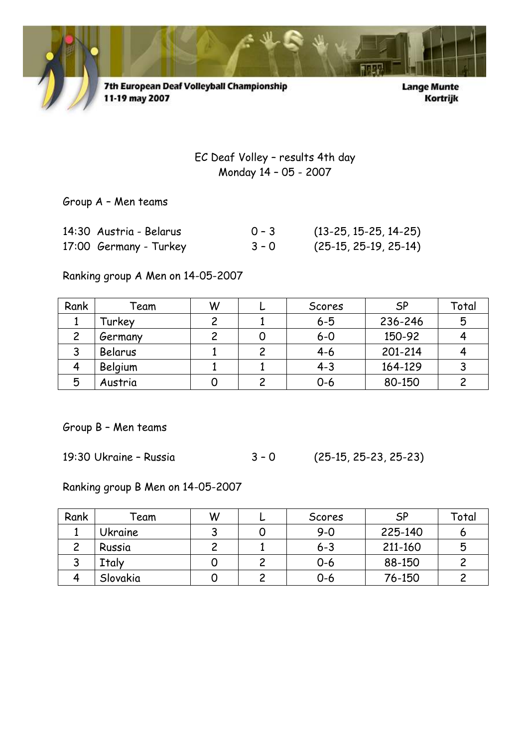

7th European Deaf Volleyball Championship 11-19 may 2007

**Lange Munte** Kortrijk

EC Deaf Volley – results 4th day Monday 14 – 05 - 2007

Group A – Men teams

| 14:30 Austria - Belarus | $0 - 3$ | $(13-25, 15-25, 14-25)$ |
|-------------------------|---------|-------------------------|
| 17:00 Germany - Turkey  | $3 - 0$ | $(25-15, 25-19, 25-14)$ |

Ranking group A Men on 14-05-2007

| Rank | Feam    | W | Scores  | <b>SP</b> | Total |
|------|---------|---|---------|-----------|-------|
|      | Turkey  |   | $6 - 5$ | 236-246   | 5     |
|      | Germany |   | $6-0$   | 150-92    |       |
|      | Belarus |   | $4 - 6$ | 201-214   |       |
|      | Belgium |   | $4 - 3$ | 164-129   |       |
| 5    | Austria |   | $0 - 6$ | 80-150    |       |

Group B – Men teams

 $3 - 0$  (25-15, 25-23, 25-23)

Ranking group B Men on 14-05-2007

| Rank | <sup>r</sup> eam | W | Scores  | <b>SP</b> | Total |
|------|------------------|---|---------|-----------|-------|
|      | <b>Ukraine</b>   |   | $9 - 0$ | 225-140   |       |
|      | Russia           |   | $6 - 3$ | 211-160   | 5     |
|      | Italy            |   | $0 - 6$ | 88-150    |       |
|      | Slovakia         |   | 0-6     | 76-150    |       |